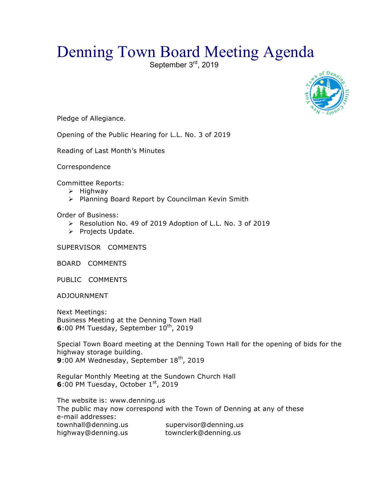## Denning Town Board Meeting Agenda



Pledge of Allegiance.

Opening of the Public Hearing for L.L. No. 3 of 2019

Reading of Last Month's Minutes

Correspondence

Committee Reports:

- $\triangleright$  Highway
- > Planning Board Report by Councilman Kevin Smith

Order of Business:

- ▶ Resolution No. 49 of 2019 Adoption of L.L. No. 3 of 2019
- > Projects Update.

SUPERVISOR COMMENTS

BOARD COMMENTS

PUBLIC COMMENTS

ADJOURNMENT

Next Meetings: Business Meeting at the Denning Town Hall **6**:00 PM Tuesday, September 10<sup>th</sup>, 2019

Special Town Board meeting at the Denning Town Hall for the opening of bids for the highway storage building. 9:00 AM Wednesday, September 18<sup>th</sup>, 2019

Regular Monthly Meeting at the Sundown Church Hall **6**:00 PM Tuesday, October 1st, 2019

The website is: www.denning.us The public may now correspond with the Town of Denning at any of these e-mail addresses: townhall@denning.us supervisor@denning.us highway@denning.us townclerk@denning.us